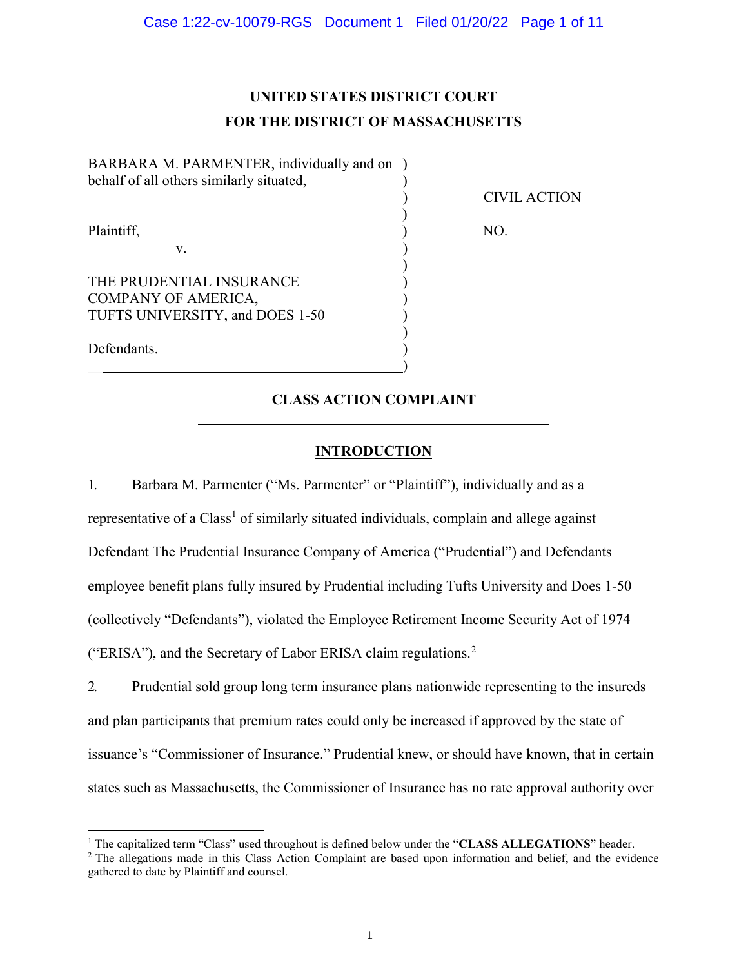# UNITED STATES DISTRICT COURT FOR THE DISTRICT OF MASSACHUSETTS

) CIVIL ACTION

BARBARA M. PARMENTER, individually and on ) behalf of all others similarly situated, )  $)$ Plaintiff, NO.

v. (1)

 $)$ 

 $)$ THE PRUDENTIAL INSURANCE COMPANY OF AMERICA, ) TUFTS UNIVERSITY, and DOES 1-50 )

Defendants.

 $\overline{a}$ 

 $\overline{\phantom{a}}$  )  $\overline{\phantom{a}}$ 

CLASS ACTION COMPLAINT

## **INTRODUCTION**

1. Barbara M. Parmenter ("Ms. Parmenter" or "Plaintiff"), individually and as a representative of a Class<sup>1</sup> of similarly situated individuals, complain and allege against Defendant The Prudential Insurance Company of America ("Prudential") and Defendants employee benefit plans fully insured by Prudential including Tufts University and Does 1-50 (collectively "Defendants"), violated the Employee Retirement Income Security Act of 1974 ("ERISA"), and the Secretary of Labor ERISA claim regulations.<sup>2</sup>

2. Prudential sold group long term insurance plans nationwide representing to the insureds and plan participants that premium rates could only be increased if approved by the state of issuance's "Commissioner of Insurance." Prudential knew, or should have known, that in certain states such as Massachusetts, the Commissioner of Insurance has no rate approval authority over

<sup>&</sup>lt;sup>1</sup> The capitalized term "Class" used throughout is defined below under the "CLASS ALLEGATIONS" header.

<sup>&</sup>lt;sup>2</sup> The allegations made in this Class Action Complaint are based upon information and belief, and the evidence gathered to date by Plaintiff and counsel.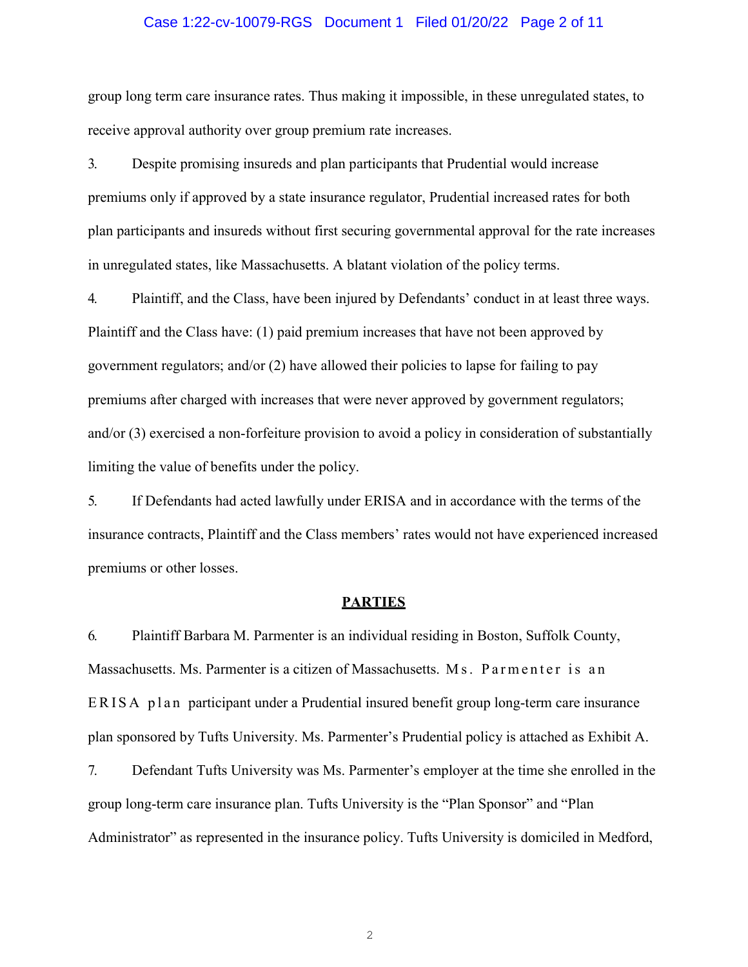## Case 1:22-cv-10079-RGS Document 1 Filed 01/20/22 Page 2 of 11

group long term care insurance rates. Thus making it impossible, in these unregulated states, to receive approval authority over group premium rate increases.

3. Despite promising insureds and plan participants that Prudential would increase premiums only if approved by a state insurance regulator, Prudential increased rates for both plan participants and insureds without first securing governmental approval for the rate increases in unregulated states, like Massachusetts. A blatant violation of the policy terms.

4. Plaintiff, and the Class, have been injured by Defendants' conduct in at least three ways. Plaintiff and the Class have: (1) paid premium increases that have not been approved by government regulators; and/or  $(2)$  have allowed their policies to lapse for failing to pay premiums after charged with increases that were never approved by government regulators; and/or (3) exercised a non-forfeiture provision to avoid a policy in consideration of substantially limiting the value of benefits under the policy.

5. If Defendants had acted lawfully under ERISA and in accordance with the terms of the insurance contracts, Plaintiff and the Class members' rates would not have experienced increased premiums or other losses.

## **PARTIES**

6. Plaintiff Barbara M. Parmenter is an individual residing in Boston, Suffolk County, Massachusetts. Ms. Parmenter is a citizen of Massachusetts. Ms. Parmenter is an ERISA plan participant under a Prudential insured benefit group long-term care insurance plan sponsored by Tufts University. Ms. Parmenter's Prudential policy is attached as Exhibit A.

7. Defendant Tufts University was Ms. Parmenter's employer at the time she enrolled in the group long-term care insurance plan. Tufts University is the "Plan Sponsor" and "Plan Administrator" as represented in the insurance policy. Tufts University is domiciled in Medford,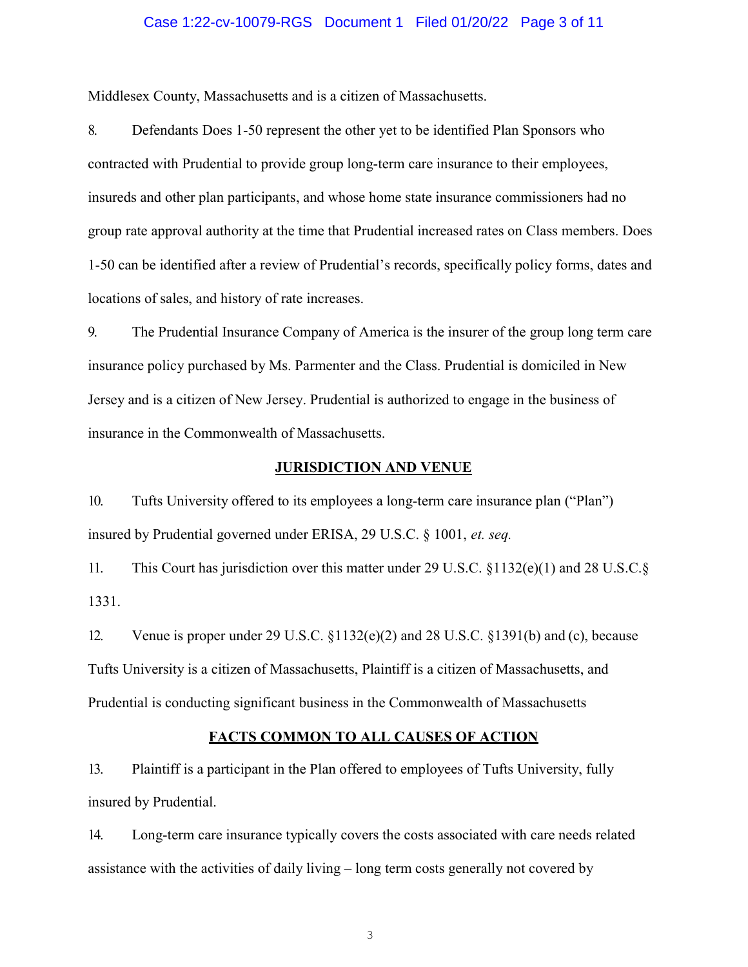## Case 1:22-cv-10079-RGS Document 1 Filed 01/20/22 Page 3 of 11

Middlesex County, Massachusetts and is a citizen of Massachusetts.

8. Defendants Does 1-50 represent the other yet to be identified Plan Sponsors who contracted with Prudential to provide group long-term care insurance to their employees, insureds and other plan participants, and whose home state insurance commissioners had no group rate approval authority at the time that Prudential increased rates on Class members. Does 1-50 can be identified after a review of Prudential's records, specifically policy forms, dates and locations of sales, and history of rate increases.

9. The Prudential Insurance Company of America is the insurer of the group long term care insurance policy purchased by Ms. Parmenter and the Class. Prudential is domiciled in New Jersey and is a citizen of New Jersey. Prudential is authorized to engage in the business of insurance in the Commonwealth of Massachusetts.

## JURISDICTION AND VENUE

10. Tufts University offered to its employees a long-term care insurance plan ("Plan") insured by Prudential governed under ERISA, 29 U.S.C. § 1001, et. seq.

11. This Court has jurisdiction over this matter under 29 U.S.C. §1132(e)(1) and 28 U.S.C.§ 1331.

12. Venue is proper under 29 U.S.C. §1132(e)(2) and 28 U.S.C. §1391(b) and (c), because Tufts University is a citizen of Massachusetts, Plaintiff is a citizen of Massachusetts, and Prudential is conducting significant business in the Commonwealth of Massachusetts

## FACTS COMMON TO ALL CAUSES OF ACTION

13. Plaintiff is a participant in the Plan offered to employees of Tufts University, fully insured by Prudential.

14. Long-term care insurance typically covers the costs associated with care needs related assistance with the activities of daily living – long term costs generally not covered by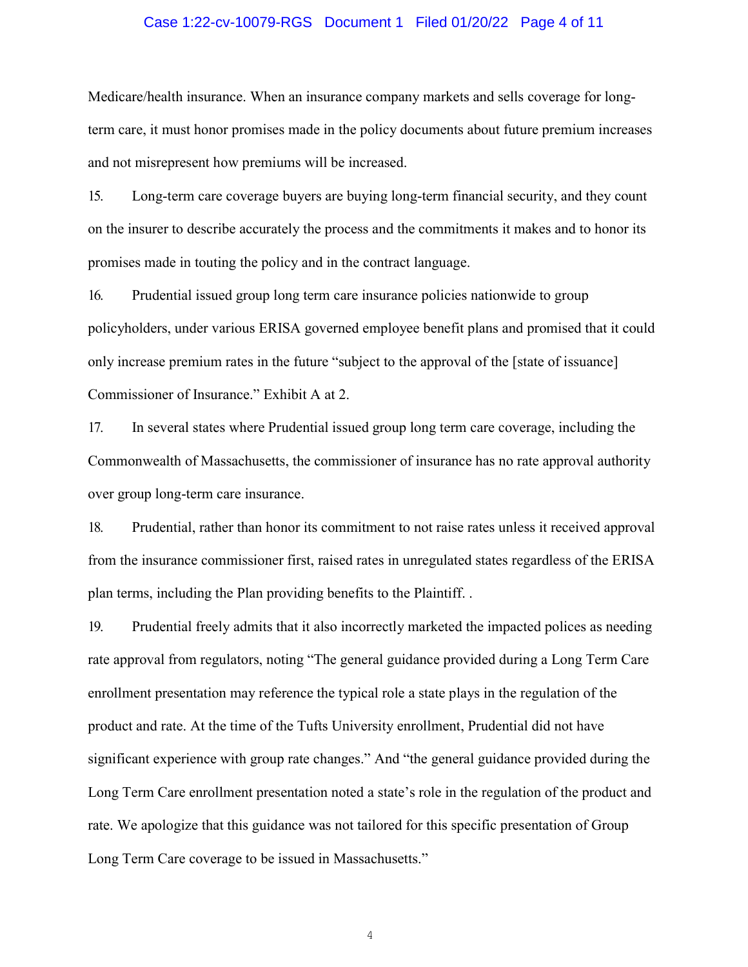## Case 1:22-cv-10079-RGS Document 1 Filed 01/20/22 Page 4 of 11

Medicare/health insurance. When an insurance company markets and sells coverage for longterm care, it must honor promises made in the policy documents about future premium increases and not misrepresent how premiums will be increased.

15. Long-term care coverage buyers are buying long-term financial security, and they count on the insurer to describe accurately the process and the commitments it makes and to honor its promises made in touting the policy and in the contract language.

16. Prudential issued group long term care insurance policies nationwide to group policyholders, under various ERISA governed employee benefit plans and promised that it could only increase premium rates in the future "subject to the approval of the [state of issuance] Commissioner of Insurance." Exhibit A at 2.

17. In several states where Prudential issued group long term care coverage, including the Commonwealth of Massachusetts, the commissioner of insurance has no rate approval authority over group long-term care insurance.

18. Prudential, rather than honor its commitment to not raise rates unless it received approval from the insurance commissioner first, raised rates in unregulated states regardless of the ERISA plan terms, including the Plan providing benefits to the Plaintiff. .

19. Prudential freely admits that it also incorrectly marketed the impacted polices as needing rate approval from regulators, noting "The general guidance provided during a Long Term Care enrollment presentation may reference the typical role a state plays in the regulation of the product and rate. At the time of the Tufts University enrollment, Prudential did not have significant experience with group rate changes." And "the general guidance provided during the Long Term Care enrollment presentation noted a state's role in the regulation of the product and rate. We apologize that this guidance was not tailored for this specific presentation of Group Long Term Care coverage to be issued in Massachusetts."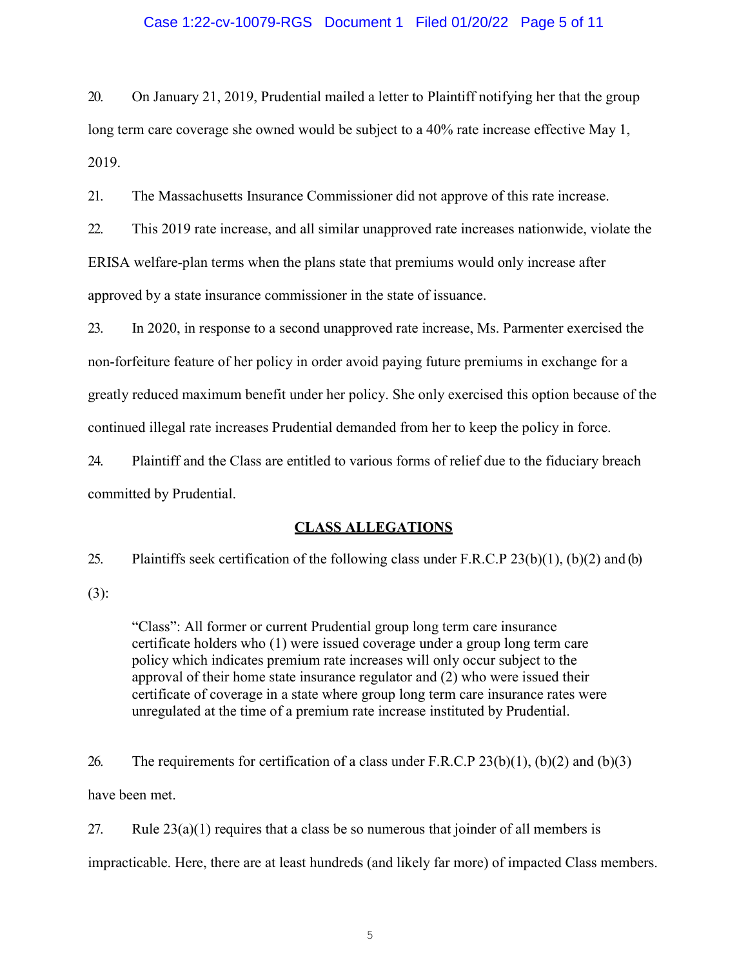## Case 1:22-cv-10079-RGS Document 1 Filed 01/20/22 Page 5 of 11

20. On January 21, 2019, Prudential mailed a letter to Plaintiff notifying her that the group long term care coverage she owned would be subject to a 40% rate increase effective May 1, 2019.

21. The Massachusetts Insurance Commissioner did not approve of this rate increase.

22. This 2019 rate increase, and all similar unapproved rate increases nationwide, violate the ERISA welfare-plan terms when the plans state that premiums would only increase after approved by a state insurance commissioner in the state of issuance.

23. In 2020, in response to a second unapproved rate increase, Ms. Parmenter exercised the non-forfeiture feature of her policy in order avoid paying future premiums in exchange for a greatly reduced maximum benefit under her policy. She only exercised this option because of the continued illegal rate increases Prudential demanded from her to keep the policy in force.

24. Plaintiff and the Class are entitled to various forms of relief due to the fiduciary breach committed by Prudential.

## CLASS ALLEGATIONS

25. Plaintiffs seek certification of the following class under F.R.C.P 23(b)(1), (b)(2) and (b) (3):

"Class": All former or current Prudential group long term care insurance certificate holders who (1) were issued coverage under a group long term care policy which indicates premium rate increases will only occur subject to the approval of their home state insurance regulator and (2) who were issued their certificate of coverage in a state where group long term care insurance rates were unregulated at the time of a premium rate increase instituted by Prudential.

26. The requirements for certification of a class under F.R.C.P  $23(b)(1)$ ,  $(b)(2)$  and  $(b)(3)$ have been met.

27. Rule  $23(a)(1)$  requires that a class be so numerous that joinder of all members is impracticable. Here, there are at least hundreds (and likely far more) of impacted Class members.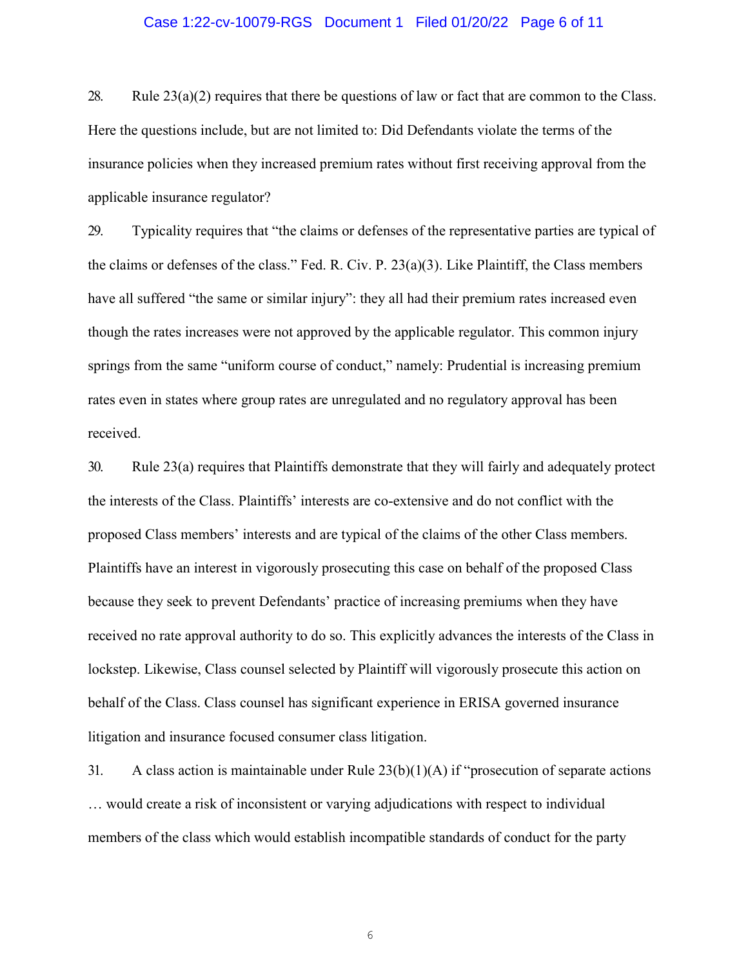## Case 1:22-cv-10079-RGS Document 1 Filed 01/20/22 Page 6 of 11

28. Rule  $23(a)(2)$  requires that there be questions of law or fact that are common to the Class. Here the questions include, but are not limited to: Did Defendants violate the terms of the insurance policies when they increased premium rates without first receiving approval from the applicable insurance regulator?

29. Typicality requires that "the claims or defenses of the representative parties are typical of the claims or defenses of the class." Fed. R. Civ. P. 23(a)(3). Like Plaintiff, the Class members have all suffered "the same or similar injury": they all had their premium rates increased even though the rates increases were not approved by the applicable regulator. This common injury springs from the same "uniform course of conduct," namely: Prudential is increasing premium rates even in states where group rates are unregulated and no regulatory approval has been received.

30. Rule 23(a) requires that Plaintiffs demonstrate that they will fairly and adequately protect the interests of the Class. Plaintiffs' interests are co-extensive and do not conflict with the proposed Class members' interests and are typical of the claims of the other Class members. Plaintiffs have an interest in vigorously prosecuting this case on behalf of the proposed Class because they seek to prevent Defendants' practice of increasing premiums when they have received no rate approval authority to do so. This explicitly advances the interests of the Class in lockstep. Likewise, Class counsel selected by Plaintiff will vigorously prosecute this action on behalf of the Class. Class counsel has significant experience in ERISA governed insurance litigation and insurance focused consumer class litigation.

31. A class action is maintainable under Rule 23(b)(1)(A) if "prosecution of separate actions … would create a risk of inconsistent or varying adjudications with respect to individual members of the class which would establish incompatible standards of conduct for the party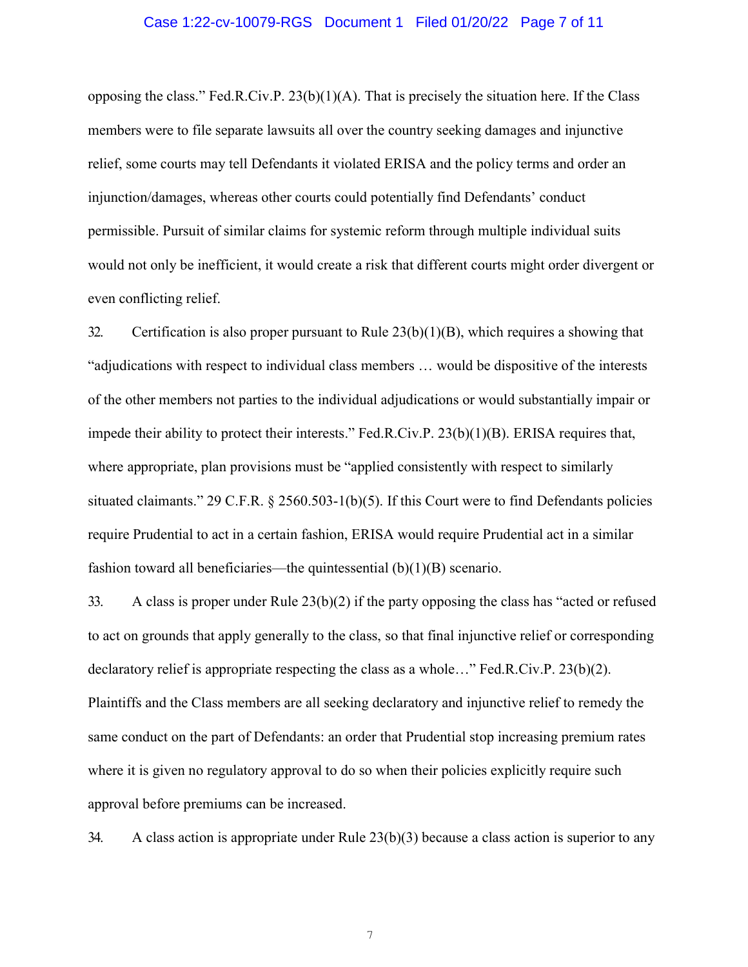#### Case 1:22-cv-10079-RGS Document 1 Filed 01/20/22 Page 7 of 11

opposing the class." Fed.R.Civ.P. 23(b)(1)(A). That is precisely the situation here. If the Class members were to file separate lawsuits all over the country seeking damages and injunctive relief, some courts may tell Defendants it violated ERISA and the policy terms and order an injunction/damages, whereas other courts could potentially find Defendants' conduct permissible. Pursuit of similar claims for systemic reform through multiple individual suits would not only be inefficient, it would create a risk that different courts might order divergent or even conflicting relief.

32. Certification is also proper pursuant to Rule  $23(b)(1)(B)$ , which requires a showing that "adjudications with respect to individual class members … would be dispositive of the interests of the other members not parties to the individual adjudications or would substantially impair or impede their ability to protect their interests." Fed.R.Civ.P. 23(b)(1)(B). ERISA requires that, where appropriate, plan provisions must be "applied consistently with respect to similarly situated claimants." 29 C.F.R. § 2560.503-1(b)(5). If this Court were to find Defendants policies require Prudential to act in a certain fashion, ERISA would require Prudential act in a similar fashion toward all beneficiaries—the quintessential  $(b)(1)(B)$  scenario.

33. A class is proper under Rule 23(b)(2) if the party opposing the class has "acted or refused to act on grounds that apply generally to the class, so that final injunctive relief or corresponding declaratory relief is appropriate respecting the class as a whole…" Fed.R.Civ.P. 23(b)(2). Plaintiffs and the Class members are all seeking declaratory and injunctive relief to remedy the same conduct on the part of Defendants: an order that Prudential stop increasing premium rates where it is given no regulatory approval to do so when their policies explicitly require such approval before premiums can be increased.

34. A class action is appropriate under Rule 23(b)(3) because a class action is superior to any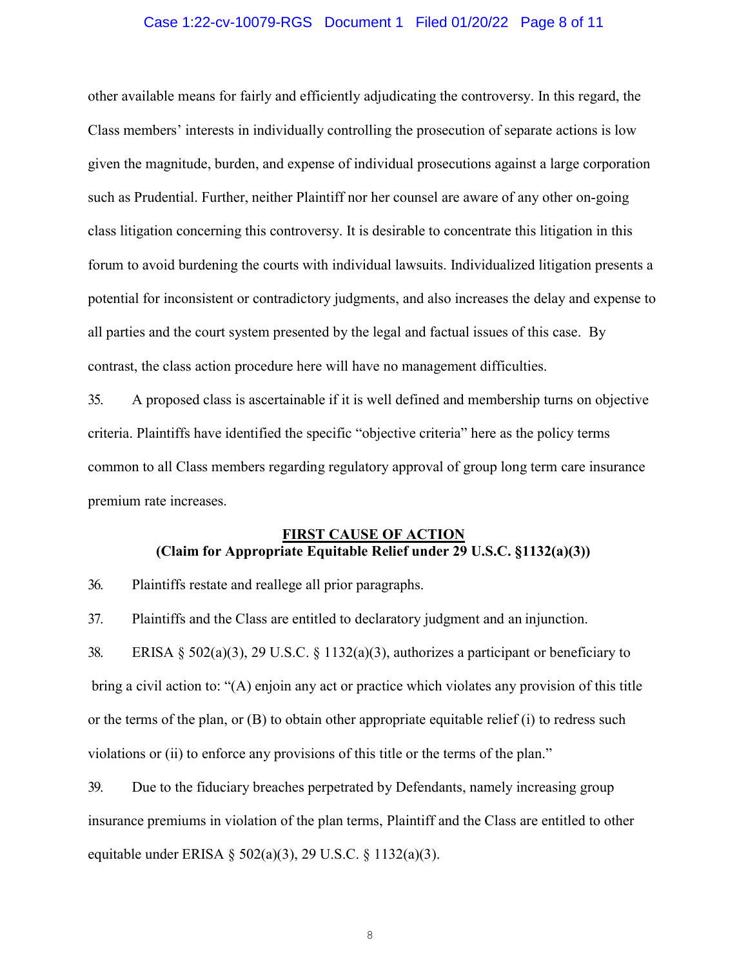## Case 1:22-cv-10079-RGS Document 1 Filed 01/20/22 Page 8 of 11

other available means for fairly and efficiently adjudicating the controversy. In this regard, the Class members' interests in individually controlling the prosecution of separate actions is low given the magnitude, burden, and expense of individual prosecutions against a large corporation such as Prudential. Further, neither Plaintiff nor her counsel are aware of any other on-going class litigation concerning this controversy. It is desirable to concentrate this litigation in this forum to avoid burdening the courts with individual lawsuits. Individualized litigation presents a potential for inconsistent or contradictory judgments, and also increases the delay and expense to all parties and the court system presented by the legal and factual issues of this case. By contrast, the class action procedure here will have no management difficulties.

35. A proposed class is ascertainable if it is well defined and membership turns on objective criteria. Plaintiffs have identified the specific "objective criteria" here as the policy terms common to all Class members regarding regulatory approval of group long term care insurance premium rate increases.

## FIRST CAUSE OF ACTION (Claim for Appropriate Equitable Relief under 29 U.S.C. §1132(a)(3))

36. Plaintiffs restate and reallege all prior paragraphs.

37. Plaintiffs and the Class are entitled to declaratory judgment and an injunction.

38. ERISA § 502(a)(3), 29 U.S.C. § 1132(a)(3), authorizes a participant or beneficiary to bring a civil action to: "(A) enjoin any act or practice which violates any provision of this title or the terms of the plan, or (B) to obtain other appropriate equitable relief (i) to redress such violations or (ii) to enforce any provisions of this title or the terms of the plan."

39. Due to the fiduciary breaches perpetrated by Defendants, namely increasing group insurance premiums in violation of the plan terms, Plaintiff and the Class are entitled to other equitable under ERISA § 502(a)(3), 29 U.S.C. § 1132(a)(3).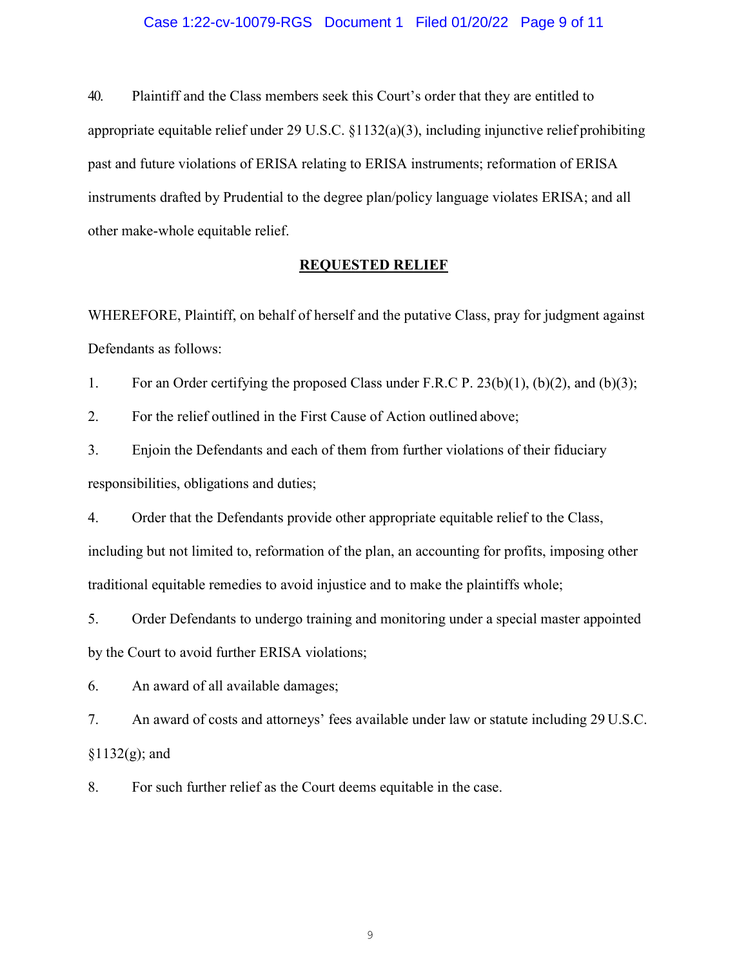### Case 1:22-cv-10079-RGS Document 1 Filed 01/20/22 Page 9 of 11

40. Plaintiff and the Class members seek this Court's order that they are entitled to appropriate equitable relief under 29 U.S.C. §1132(a)(3), including injunctive relief prohibiting past and future violations of ERISA relating to ERISA instruments; reformation of ERISA instruments drafted by Prudential to the degree plan/policy language violates ERISA; and all other make-whole equitable relief.

## REQUESTED RELIEF

WHEREFORE, Plaintiff, on behalf of herself and the putative Class, pray for judgment against Defendants as follows:

1. For an Order certifying the proposed Class under F.R.C P. 23(b)(1), (b)(2), and (b)(3);

2. For the relief outlined in the First Cause of Action outlined above;

3. Enjoin the Defendants and each of them from further violations of their fiduciary responsibilities, obligations and duties;

4. Order that the Defendants provide other appropriate equitable relief to the Class, including but not limited to, reformation of the plan, an accounting for profits, imposing other traditional equitable remedies to avoid injustice and to make the plaintiffs whole;

5. Order Defendants to undergo training and monitoring under a special master appointed by the Court to avoid further ERISA violations;

6. An award of all available damages;

7. An award of costs and attorneys' fees available under law or statute including 29 U.S.C.  $§1132(g);$  and

8. For such further relief as the Court deems equitable in the case.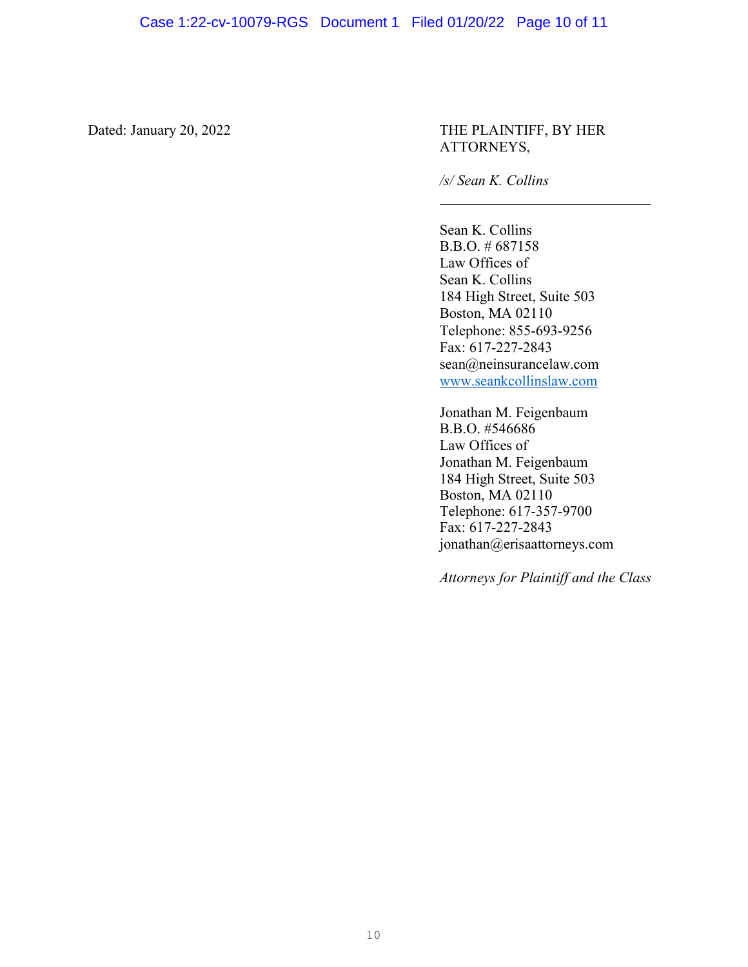## Dated: January 20, 2022 THE PLAINTIFF, BY HER ATTORNEYS,

/s/ Sean K. Collins

Sean K. Collins B.B.O. # 687158 Law Offices of Sean K. Collins 184 High Street, Suite 503 Boston, MA 02110 Telephone: 855-693-9256 Fax: 617-227-2843 sean@neinsurancelaw.com www.seankcollinslaw.com

Jonathan M. Feigenbaum B.B.O. #546686 Law Offices of Jonathan M. Feigenbaum 184 High Street, Suite 503 Boston, MA 02110 Telephone: 617-357-9700 Fax: 617-227-2843 jonathan@erisaattorneys.com

Attorneys for Plaintiff and the Class